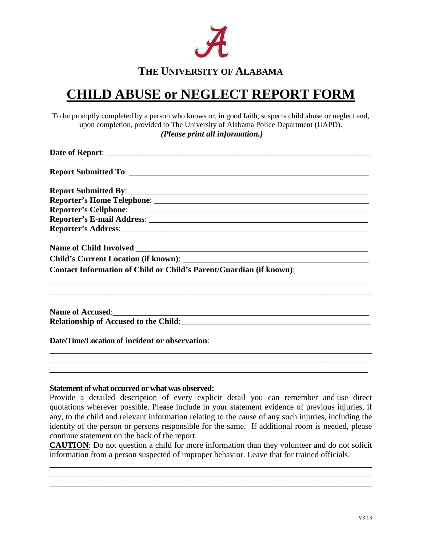

## **THE UNIVERSITY OF ALABAMA**

## **CHILD ABUSE or NEGLECT REPORT FORM**

 To be promptly completed by a person who knows or, in good faith, suspects child abuse or neglect and, upon completion, provided to The University of Alabama Police Department (UAPD). *(Please print all information.)* 

| <b>Contact Information of Child or Child's Parent/Guardian (if known):</b> |  |  |
|----------------------------------------------------------------------------|--|--|
|                                                                            |  |  |
| Name of Accused:<br><u>Name of Accused:</u>                                |  |  |
|                                                                            |  |  |

 **Date/Time/Location of incident or observation**:

## **Statement of what occurred or what was observed:**

 Provide a detailed description of every explicit detail you can remember and use direct quotations wherever possible. Please include in your statement evidence of previous injuries, if any, to the child and relevant information relating to the cause of any such injuries, including the identity of the person or persons responsible for the same. If additional room is needed, please continue statement on the back of the report.

\_\_\_\_\_\_\_\_\_\_\_\_\_\_\_\_\_\_\_\_\_\_\_\_\_\_\_\_\_\_\_\_\_\_\_\_\_\_\_\_\_\_\_\_\_\_\_\_\_\_\_\_\_\_\_\_\_\_\_\_\_\_\_\_\_\_\_\_\_\_\_\_\_\_\_\_\_\_

\_\_\_\_\_\_\_\_\_\_\_\_\_\_\_\_\_\_\_\_\_\_\_\_\_\_\_\_\_\_\_\_\_\_\_\_\_\_\_\_\_\_\_\_\_\_\_\_\_\_\_\_\_\_\_\_\_\_\_\_\_\_\_\_\_\_\_\_\_\_\_\_\_\_\_\_\_

information from a person suspected of improper behavior. Leave that for trained officials. **CAUTION**: Do not question a child for more information than they volunteer and do not solicit information from a person suspected of improper behavior. Leave that for trained officials.

\_\_\_\_\_\_\_\_\_\_\_\_\_\_\_\_\_\_\_\_\_\_\_\_\_\_\_\_\_\_\_\_\_\_\_\_\_\_\_\_\_\_\_\_\_\_\_\_\_\_\_\_\_\_\_\_\_\_\_\_\_\_\_\_\_\_\_\_\_\_\_\_\_\_\_\_\_\_ \_\_\_\_\_\_\_\_\_\_\_\_\_\_\_\_\_\_\_\_\_\_\_\_\_\_\_\_\_\_\_\_\_\_\_\_\_\_\_\_\_\_\_\_\_\_\_\_\_\_\_\_\_\_\_\_\_\_\_\_\_\_\_\_\_\_\_\_\_\_\_\_\_\_\_\_\_\_ \_\_\_\_\_\_\_\_\_\_\_\_\_\_\_\_\_\_\_\_\_\_\_\_\_\_\_\_\_\_\_\_\_\_\_\_\_\_\_\_\_\_\_\_\_\_\_\_\_\_\_\_\_\_\_\_\_\_\_\_\_\_\_\_\_\_\_\_\_\_\_\_\_\_\_\_\_\_